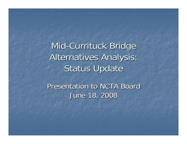Mid-Currituck Bridge Alternatives Analysis: **Status Update** 

Presentation to NCTA Board June 18, 2008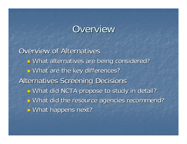## Overview

**Overview of Alternatives**  $\mathbb{R}^2$ **u** What alternatives are being considered?  $\mathbb{R}^2$ **E** What are the key differences? Alternatives Screening Decisions Alternatives Screening Decisions  $\mathbb{R}^2$ ■ What did NCTA propose to study in detail?  $\mathbb{R}^2$ ■ What did the resource agencies recommend? T. **D** What happens next?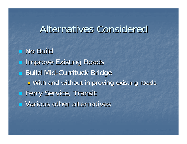### Alternatives Considered

**No Build <u>Existing Roads</u> Build Mid-Currituck Bridge** T. **D** With and without improving existing roads **Example Terry Service, Transit**  $\blacksquare$  Various other alternatives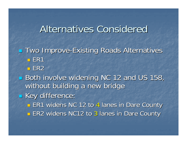### Alternatives Considered

**- Two Improve-Existing Roads Alternatives**  $\blacksquare$  ER1  $\blacksquare$  ER2 Both involve widening NC 12 and US 158, without building a new bridge **Example 18 Key difference: ER1 widens NC 12 to 4 lanes in Dare County ER2 widens NC12 to 3 lanes in Dare County**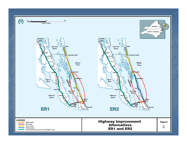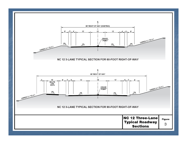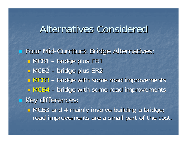### Alternatives Considered

**Example Four Mid-Currituck Bridge Alternatives:**  $\blacksquare$  MCB1 – bridge plus ER1  $\blacksquare$  MCB2 – bridge plus ER2  $\blacksquare$  MCB3 – - bridge with some road improvements  $\blacksquare$  MCB4 – - bridge with some road improvements **Example Key differences:** T. **n** MCB3 and 4 mainly involve building a bridge; road improvements are a small part of the cost.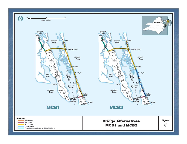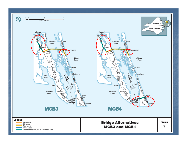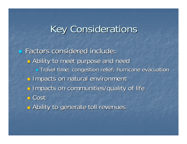# **Key Considerations**

**Factors considered include:** Factors considered include:  $\mathbb{R}^2$ **E** Ability to meet purpose and need  $\blacksquare$  Travel time; congestion relief; hurricane evacuation  $\mathbb{R}^2$ **Impacts on natural environment**  $\mathbb{R}^2$ **Impacts on communities/quality of life**  Cost  $\mathbb{R}^2$ **E** Ability to generate toll revenues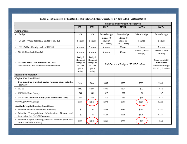#### Table 2. Evaluation of Existing Road (ER) and Mid-Currituck Bridge (MCB) Alternatives

|                                                                                           | <b>Highway Improvement Alternatives</b>                             |                                                               |                                          |                                       |                            |                                                                     |
|-------------------------------------------------------------------------------------------|---------------------------------------------------------------------|---------------------------------------------------------------|------------------------------------------|---------------------------------------|----------------------------|---------------------------------------------------------------------|
|                                                                                           | ER <sub>1</sub>                                                     | ER <sub>2</sub>                                               | MCB1                                     | MCB <sub>2</sub>                      | MCB <sub>3</sub>           | MCB4                                                                |
| Components                                                                                |                                                                     |                                                               |                                          |                                       |                            |                                                                     |
| • Bridge                                                                                  | NA                                                                  | NA                                                            | 2-lane bridge                            | 2-lane bridge                         | 2-lane bridge              | 2-lane bridge                                                       |
| • US 158 (Wright Memorial Bridge to NC 12)                                                | 8 lanes                                                             | 8 lanes                                                       | 6 lanes (8<br>lanes in<br>NC 12 area)    | 6 lanes (8<br>lanes in<br>NC 12 area) | 5 lanes                    | 5 lanes                                                             |
| • NC 12 (Dare County north of US 158)                                                     | 4 lanes                                                             | 3 lanes                                                       | 4 lanes                                  | 3 lanes                               | 2 lanes                    | 2 lanes                                                             |
| • NC 12 (Currituck County)                                                                | 4 lanes                                                             | 4 lanes                                                       | 4 lanes                                  | 4 lanes                               | 2 lanes (4 near<br>bridge) | 2 lanes (4 near<br>bridge)                                          |
| • Location of US 158 Contraflow or Third<br>Northbound Lane for Hurricane Evacuation      | Wright<br>Memorial<br>Bridge to<br><b>NC168</b><br>(24.5)<br>miles) | Wright<br>Memorial<br>Bridge to<br>NC 168<br>(24.5)<br>miles) | Mid-Currituck Bridge to NC 168 (5 miles) |                                       |                            | Same as MCB3<br>plus Wright<br>Memorial Bridge<br>NC 12 (1.5 miles) |
| <b>Economic Feasibility</b>                                                               |                                                                     |                                                               |                                          |                                       |                            |                                                                     |
| Capital Cost (in millions)                                                                |                                                                     |                                                               |                                          |                                       |                            |                                                                     |
| • Two-Lane Mid-Currituck Bridge (average of six potential<br>corridors)                   | NA.                                                                 | NA                                                            | \$385                                    | \$385                                 | \$385                      | \$385                                                               |
| $\bullet$ NC12                                                                            | \$550                                                               | \$207                                                         | \$550                                    | \$207                                 | \$72                       | \$72                                                                |
| • US 158 in Dare County                                                                   | \$41                                                                | \$41                                                          | \$27                                     | \$27                                  | \$0                        | \$7                                                                 |
| • US 158 in Currituck County (third northbound lane)                                      | \$67                                                                | \$67                                                          | \$16                                     | \$16                                  | \$16                       | \$16                                                                |
| TOTAL CAPITAL COST                                                                        | \$658                                                               | \$315                                                         | \$978                                    | \$635                                 | \$473                      | \$480                                                               |
| Available Capital Funding (in millions)                                                   |                                                                     |                                                               |                                          |                                       |                            |                                                                     |
| • Potential Total Revenue Bond Financing                                                  | \$0                                                                 | \$0                                                           | \$284                                    | \$284                                 | \$284                      | \$284                                                               |
| • Potential Transportation Infrastructure Finance and<br>Innovation Act (TIFIA) Financing | \$0                                                                 | \$0                                                           | \$128                                    | \$128                                 | \$128                      | \$128                                                               |
| • Potential Capital Funding Shortfall (Surplus) (total cost<br>minus available funding)   | \$658                                                               | \$315                                                         | \$566                                    | \$223                                 | \$61                       | \$68                                                                |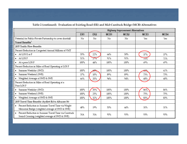#### Table 2 (continued). Evaluation of Existing Road (ER) and Mid-Currituck Bridge (MCB) Alternatives

|                                                                                                           | <b>Highway Improvement Alternatives</b> |                 |      |                  |                  |      |
|-----------------------------------------------------------------------------------------------------------|-----------------------------------------|-----------------|------|------------------|------------------|------|
|                                                                                                           | ER <sub>1</sub>                         | ER <sub>2</sub> | MCB1 | MCB <sub>2</sub> | MCB <sub>3</sub> | MCB4 |
| Potential for Public-Private Partnership to cover shortfall                                               | No                                      | No              | No   | No               | Yes              | Yes  |
| Travel Benefits <sup>1</sup>                                                                              |                                         |                 |      |                  |                  |      |
| <b>2035 Traffic Flow Benefits</b>                                                                         |                                         |                 |      |                  |                  |      |
| Percent Reduction in Congested Annual Millions of VMT                                                     |                                         |                 |      |                  |                  |      |
| $\bullet$ At LOS E or F                                                                                   | 55%                                     | 22%             | 64%  | 50%              | 37%              | 37%  |
| $\bullet$ At LOS F                                                                                        | 51%                                     | 27%             | 91%  | 91%              | 71%              | 71%  |
| • At a poor LOS F                                                                                         | 100%                                    | 44%             | 100% | 100%             | 69%              | 69%  |
| Percent Reduction in Miles of Road Operating at LOS F                                                     |                                         |                 |      |                  |                  |      |
| • Summer Weekday (SWD)                                                                                    | 100%                                    | 60%             | 100% | 100%             | 61%              | 61%  |
| • Summer Weekend (SWE)                                                                                    | 37%                                     | 10%             | 89%  | 89%              | 73%              | 73%  |
| • Weighted Average of SWD & SWE                                                                           | 66%                                     | 33%             | 94%  | 94%              | 68%              | 68%  |
| Percent Reduction in Miles of Road Operating at a<br>Poor LOS F                                           |                                         |                 |      |                  |                  |      |
| • Summer Weekday (SWD)                                                                                    | 100%                                    | 35%             | 100% | 100%             | 86%              | 86%  |
| • Summer Weekend (SWE)                                                                                    | 100%                                    | 25%             | 100% | 100%             | 75%              | 75%  |
| • Weighted Average of SWD & SWE                                                                           | 100%                                    | 32%             | 100% | 100%             | 83%              | 83%  |
| 2035 Travel Time Benefits (Aydlett Rd to Albacore St)                                                     |                                         |                 |      |                  |                  |      |
| • Percent Reduction in Summer Travel Time via Wright<br>Memorial Bridge (weighted average of SWD & SWE)   | 48%                                     | 19%             | 53%  | 44%              | 31%              | 31%  |
| • Percent Reduction in Summer Travel Time via Currituck<br>Sound Crossing (weighted average of SWD & SWE) | NA                                      | ΝA              | 93%  | 93%              | 93%              | 93%  |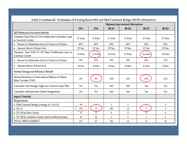#### Table 2 (continued). Evaluation of Existing Road (ER) and Mid-Currituck Bridge (MCB) Alternatives

|                                                                               | <b>Highway Improvement Alternatives</b> |                    |                  |                  |                  |          |
|-------------------------------------------------------------------------------|-----------------------------------------|--------------------|------------------|------------------|------------------|----------|
|                                                                               | ER <sub>1</sub>                         | ER <sub>2</sub>    | MCB1             | MCB <sub>2</sub> | MCB <sub>3</sub> | MCB4     |
| 2035 Hurricane Evacuation Benefit                                             |                                         |                    |                  |                  |                  |          |
| Clearance Time With US 158 Northbound Contraflow Lane<br>in Currituck County  | 27.4 hrs                                | 27.4 hrs           | 27.4 hrs         | 27.4 hrs         | 27.4 hrs         | 27.4 hrs |
| • Percent of a Reduction from 36.3 hours to 18 hours                          | 49%                                     | 49%                | 49%              | 49%              | 49%              | 49%      |
| • Amount Above 18-hour Goal                                                   | 8.9 hrs                                 | 8.9 <sub>hrs</sub> | 8.9 hrs          | 8.9 hrs          | 8.9 hrs          | 8.9 hrs  |
| Clearance Time With US 158 Third Northbound Lane in<br>Currituck County       | 21.8 hrs                                | 21.8 hrs           | 21.8 hrs         | 21.8 hrs         | 26.6 hrs         | 21.8 hrs |
| • Percent of a Reduction from 36.3 hours to 18 hours                          | 79%                                     | 79%                | 79%              | 79%              | 53%              | 79%      |
| • Amount Above 18-hour Goal                                                   | 3.8 <sub>hrs</sub>                      | 3.8 <sub>hrs</sub> | 3.8 hrs          | 3.8 hrs          | 8.6 hrs          | 3.8 hrs  |
| System Linkage and Efficiency Benefit                                         |                                         |                    |                  |                  |                  |          |
| Percent Reduction in Total Annual Millions of Vehicle<br>Miles Traveled (VMT) | 0%                                      | 0%                 | 13%              | 13%              | 13%              | 13%      |
| Consistent with Strategic Highway Corridor Vision Plan                        | No                                      | No                 | Yes <sup>2</sup> | Yes <sup>2</sup> | Yes              | Yes      |
| Consistent with Intrastate System Designations                                | No                                      | No                 | Yes <sup>2</sup> | Yes <sup>2</sup> | Yes              | Yes      |
| <b>Impact Potential</b>                                                       |                                         |                    |                  |                  |                  |          |
| Displacement                                                                  |                                         |                    |                  |                  |                  |          |
| • Mid-Currituck Bridge (average of C1 to C6)                                  | $\uparrow$ .                            | ⊕                  | 5                | 5                |                  | 5        |
| $\bullet$ NC12                                                                | 195                                     | 15                 | 195              | 15               | 5                | 5        |
| • US 158 in Dare County                                                       | $\overline{\overline{0}}$               | $\overline{0}$     | 0                | 0                | 0                | 0        |
| • US 158 in Currituck County (third northbound lane)                          | 32                                      | 32                 | $\mathbf{1}$     | 1                | $\mathbf{1}$     | 1        |
| TOTAL DISPLACEMENT                                                            | 227                                     | 47                 | 201              | 21               | 11               | 11       |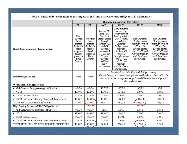#### Table 2 (concluded). Evaluation of Existing Road (ER) and Mid-Currituck Bridge (MCB) Alternatives

|                                                      | <b>Highway Improvement Alternatives</b>                                                                            |                                                                                              |                                                                                                                                                                                                                           |                                                                                                                                                                                                                                                                    |                                                                                                                                                               |                                                                                                                                                               |  |
|------------------------------------------------------|--------------------------------------------------------------------------------------------------------------------|----------------------------------------------------------------------------------------------|---------------------------------------------------------------------------------------------------------------------------------------------------------------------------------------------------------------------------|--------------------------------------------------------------------------------------------------------------------------------------------------------------------------------------------------------------------------------------------------------------------|---------------------------------------------------------------------------------------------------------------------------------------------------------------|---------------------------------------------------------------------------------------------------------------------------------------------------------------|--|
|                                                      | ER <sub>1</sub>                                                                                                    | ER <sub>2</sub>                                                                              | MCB1                                                                                                                                                                                                                      | MCB <sub>2</sub>                                                                                                                                                                                                                                                   | MCB3                                                                                                                                                          | MCB4                                                                                                                                                          |  |
| Rural/Beach Community Fragmentation                  | Four<br>through<br>lanes<br>crossed<br>by beach<br>users,<br>shoppers,<br>or hotel<br>guests in<br>Dare<br>County. | New turn<br>lane<br>crossed<br>by beach<br>users or<br>hotel<br>guests in<br>Dare<br>County. | Same as ER1<br>plus Mid-<br>Currituck<br>Bridge passes<br>through<br>Aydlett <sup>(C3</sup><br>and C4<br>through<br>center) and<br>C1, C3, and<br>C5 pass<br>through<br>middle of<br>new<br>subdivision.                  | New turn lane<br>crossed by<br>beach users or<br>hotel guests in<br>Dare County,<br>plus Mid-<br>Currituck<br>Bridge passes<br>through<br>Aydlett (C3<br>and C4<br>through center)<br>and $C1$ , $C3$ ,<br>and C5 pass<br>through<br>middle of new<br>subdivision. | Mid-Currituck<br>Bridge passes<br>through Aydlett<br>$(C3$ and $C4$<br>through center)<br>and C1, C3, and<br>C5 pass through<br>middle of new<br>subdivision. | Mid-Currituck<br>Bridge passes<br>through Aydlett<br>$(C3$ and $C4$<br>through center)<br>and C1, C3, and<br>C5 pass through<br>middle of new<br>subdivision. |  |
| <b>Habitat Fragmentation</b>                         | None                                                                                                               | None                                                                                         | Associated with Mid-Currituck Bridge crossing<br>of Maple Swamp and loss of swamp forest and hardwood forest; C1 to C4<br>in vicinity of an existing forest edge; C5 and C6 create a new edge and<br>also use bay forest. |                                                                                                                                                                                                                                                                    |                                                                                                                                                               |                                                                                                                                                               |  |
| Wetland Filled/Bridged (Acres)                       |                                                                                                                    |                                                                                              |                                                                                                                                                                                                                           |                                                                                                                                                                                                                                                                    |                                                                                                                                                               |                                                                                                                                                               |  |
| • Mid-Currituck Bridge (average of C1 to C6)         | 0.0/0.0                                                                                                            | 0.0/0.0                                                                                      | 13.7/7.2                                                                                                                                                                                                                  | 13.7/7.2                                                                                                                                                                                                                                                           | 13.7/7.2                                                                                                                                                      | 13.7/7.2                                                                                                                                                      |  |
| $\bullet$ NC12                                       | 10.9/0.0                                                                                                           | 10.4/0.0                                                                                     | 10.9/0.0                                                                                                                                                                                                                  | 10.4/0.0                                                                                                                                                                                                                                                           | 6.3/0.0                                                                                                                                                       | 6.3/0.0                                                                                                                                                       |  |
| • US 158 in Dare County                              | 4.2/0.0                                                                                                            | 4.2/0.0                                                                                      | 3.4/0.0                                                                                                                                                                                                                   | 3.4/0.0                                                                                                                                                                                                                                                            | 0.0/0.0                                                                                                                                                       | 0.0/0.0                                                                                                                                                       |  |
| • US 158 in Currituck County (third northbound lane) | 12.4/0.0                                                                                                           | 12.4/0.9                                                                                     | 10.8/0.0                                                                                                                                                                                                                  | 10.8/0.0                                                                                                                                                                                                                                                           | 10.8/0.9                                                                                                                                                      | 10.8/0.0                                                                                                                                                      |  |
| TOTAL WETLANDS FILLED/BRIDGED                        | 27.5/0.0                                                                                                           | 27.0/0.0                                                                                     | 38.8/7.2                                                                                                                                                                                                                  | 38.3/7.2                                                                                                                                                                                                                                                           | 30.8/7.2                                                                                                                                                      | 30.8/7.2                                                                                                                                                      |  |
| High Quality Resources Filled/Bridged (Acres)        |                                                                                                                    |                                                                                              |                                                                                                                                                                                                                           |                                                                                                                                                                                                                                                                    |                                                                                                                                                               |                                                                                                                                                               |  |
| • Mid-Currituck Bridge (average of C1 to C6)         | 0.0/0.0                                                                                                            | 0.0/0.0                                                                                      | 4.8/6.1                                                                                                                                                                                                                   | 4.8/6.1                                                                                                                                                                                                                                                            | 4.8/6.1                                                                                                                                                       | 4.8/6.1                                                                                                                                                       |  |
| $\bullet$ NC12                                       | 17.8/0.0                                                                                                           | 16.8/0.0                                                                                     | 17.8/0.0                                                                                                                                                                                                                  | 16.8/0.0                                                                                                                                                                                                                                                           | 0.0/0.0                                                                                                                                                       | 0.0/0.0                                                                                                                                                       |  |
| • US 158 in Dare County                              | 0.2/0.0                                                                                                            | 0.2/0.0                                                                                      | 0.0/0.0                                                                                                                                                                                                                   | 0.0/0.0                                                                                                                                                                                                                                                            | 0.0/0.0                                                                                                                                                       | 0.0/0.0                                                                                                                                                       |  |
| • US 158 in Currituck County (third northbound lane) | 1.4/0.0                                                                                                            | 1.4/0.0                                                                                      | 1.4/0.0                                                                                                                                                                                                                   | 1.4/0.0                                                                                                                                                                                                                                                            | 1.4 / 0.0                                                                                                                                                     | 1.4/0.0                                                                                                                                                       |  |
| TOTAL HIGH QUALITY RESOURCES FILLED/BRIDGED          | 19.4/0.0                                                                                                           | 18.4/0.0                                                                                     | 24.0/6.1                                                                                                                                                                                                                  | 23.0/6.1                                                                                                                                                                                                                                                           | 6.2/6.1                                                                                                                                                       | 6.2/6.1                                                                                                                                                       |  |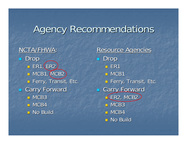# **Agency Recommendations**

NCTA/FHWA  $\overline{\mathcal{L}}$  Drop  $\overline{\phantom{a}}$  ER1, ER2  $\blacksquare$  MCB1, MCB2 **□ Ferry, Transit, Etc.**  $\mathbb{R}^2$ **Carry Forward**  $\blacksquare$  MCB3  $\blacksquare$  MCB4  $\blacksquare$  No Build

Resource Agencies Drop □ ER1  $\blacksquare$  MCB1 **□ Ferry, Transit, Etc. Example Carry Forward LER2, MCB2**  $\blacksquare$  MCB3  $\blacksquare$  MCB4  $\blacksquare$  No Build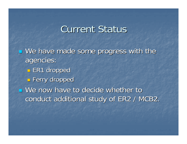### **Current Status**

 $\blacksquare$  We have made some progress with the agencies: agencies:  $\mathbb{R}^2$  $\blacksquare$  ER1 dropped  $\mathbb{R}^2$ **E** Ferry dropped  $\blacksquare$  We now have to decide whether to conduct additional study of ER2 / MCB2.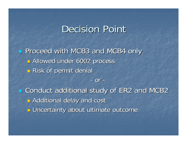# Decision Point

**Proceed with MCB3 and MCB4 only**  $\mathbb{R}^2$ **B** Allowed under 6002 process  $\mathbb{R}^2$ **Risk of permit denial** -or -

**Example 2 and MCB2** Conduct additional study of ER2 and MCB2  $\mathbb{R}^3$ **Radditional delay and cost** T. **<u>E</u>** Uncertainty about ultimate outcome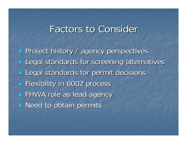## **Factors to Consider**

**Project history / agency perspectives Legal standards for screening alternatives Legal standards for permit decisions Flexibility in 6002 process FHWA role as lead agency Need to obtain permits**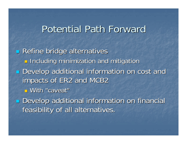### Potential Path Forward

**Refine bridge alternatives**  $\mathbb{R}^3$ **n** Including minimization and mitigation **Develop additional information on cost and** impacts of ER2 and MCB2 **D** With "caveat" **Develop additional information on financial** feasibility of all alternatives.